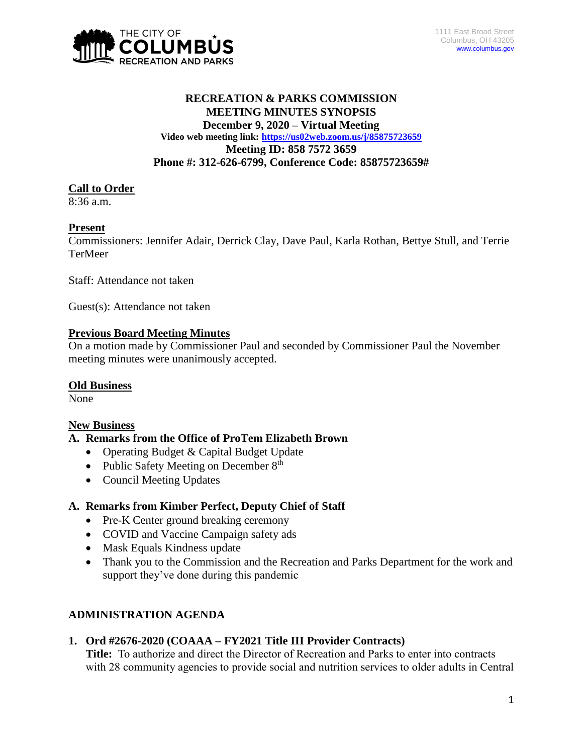

#### **RECREATION & PARKS COMMISSION MEETING MINUTES SYNOPSIS December 9, 2020 – Virtual Meeting Video web meeting link: <https://us02web.zoom.us/j/85875723659> Meeting ID: 858 7572 3659 Phone #: 312-626-6799, Conference Code: 85875723659#**

#### **Call to Order**

 $8:36$  a.m.

#### **Present**

Commissioners: Jennifer Adair, Derrick Clay, Dave Paul, Karla Rothan, Bettye Stull, and Terrie TerMeer

Staff: Attendance not taken

Guest(s): Attendance not taken

#### **Previous Board Meeting Minutes**

On a motion made by Commissioner Paul and seconded by Commissioner Paul the November meeting minutes were unanimously accepted.

#### **Old Business**

None

#### **New Business**

#### **A. Remarks from the Office of ProTem Elizabeth Brown**

- Operating Budget & Capital Budget Update
- Public Safety Meeting on December  $8<sup>th</sup>$
- Council Meeting Updates

## **A. Remarks from Kimber Perfect, Deputy Chief of Staff**

- Pre-K Center ground breaking ceremony
- COVID and Vaccine Campaign safety ads
- Mask Equals Kindness update
- Thank you to the Commission and the Recreation and Parks Department for the work and support they've done during this pandemic

## **ADMINISTRATION AGENDA**

## **1. Ord #2676-2020 (COAAA – FY2021 Title III Provider Contracts)**

**Title:** To authorize and direct the Director of Recreation and Parks to enter into contracts with 28 community agencies to provide social and nutrition services to older adults in Central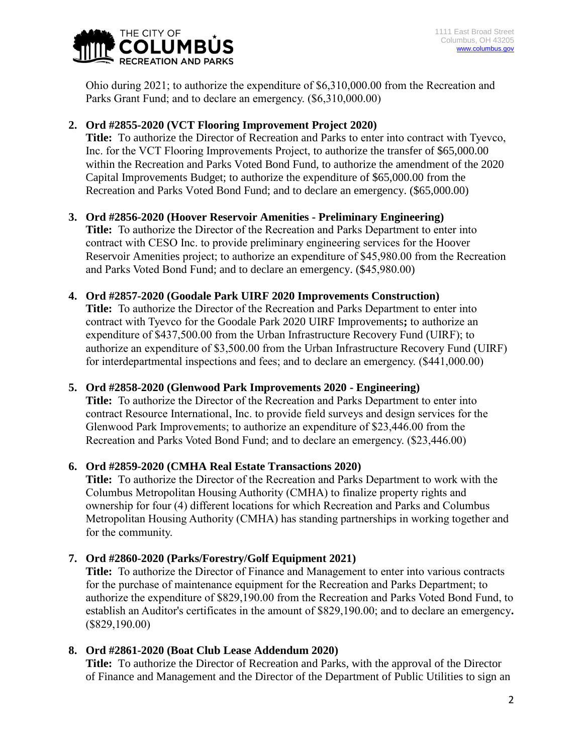

Ohio during 2021; to authorize the expenditure of \$6,310,000.00 from the Recreation and Parks Grant Fund; and to declare an emergency. (\$6,310,000.00)

## **2. Ord #2855-2020 (VCT Flooring Improvement Project 2020)**

**Title:** To authorize the Director of Recreation and Parks to enter into contract with Tyevco, Inc. for the VCT Flooring Improvements Project, to authorize the transfer of \$65,000.00 within the Recreation and Parks Voted Bond Fund, to authorize the amendment of the 2020 Capital Improvements Budget; to authorize the expenditure of \$65,000.00 from the Recreation and Parks Voted Bond Fund; and to declare an emergency. (\$65,000.00)

# **3. Ord #2856-2020 (Hoover Reservoir Amenities - Preliminary Engineering)**

**Title:** To authorize the Director of the Recreation and Parks Department to enter into contract with CESO Inc. to provide preliminary engineering services for the Hoover Reservoir Amenities project; to authorize an expenditure of \$45,980.00 from the Recreation and Parks Voted Bond Fund; and to declare an emergency. (\$45,980.00)

## **4. Ord #2857-2020 (Goodale Park UIRF 2020 Improvements Construction)**

**Title:** To authorize the Director of the Recreation and Parks Department to enter into contract with Tyevco for the Goodale Park 2020 UIRF Improvements**;** to authorize an expenditure of \$437,500.00 from the Urban Infrastructure Recovery Fund (UIRF); to authorize an expenditure of \$3,500.00 from the Urban Infrastructure Recovery Fund (UIRF) for interdepartmental inspections and fees; and to declare an emergency. (\$441,000.00)

## **5. Ord #2858-2020 (Glenwood Park Improvements 2020 - Engineering)**

**Title:** To authorize the Director of the Recreation and Parks Department to enter into contract Resource International, Inc. to provide field surveys and design services for the Glenwood Park Improvements; to authorize an expenditure of \$23,446.00 from the Recreation and Parks Voted Bond Fund; and to declare an emergency. (\$23,446.00)

## **6. Ord #2859-2020 (CMHA Real Estate Transactions 2020)**

**Title:** To authorize the Director of the Recreation and Parks Department to work with the Columbus Metropolitan Housing Authority (CMHA) to finalize property rights and ownership for four (4) different locations for which Recreation and Parks and Columbus Metropolitan Housing Authority (CMHA) has standing partnerships in working together and for the community.

## **7. Ord #2860-2020 (Parks/Forestry/Golf Equipment 2021)**

**Title:** To authorize the Director of Finance and Management to enter into various contracts for the purchase of maintenance equipment for the Recreation and Parks Department; to authorize the expenditure of \$829,190.00 from the Recreation and Parks Voted Bond Fund, to establish an Auditor's certificates in the amount of \$829,190.00; and to declare an emergency**.**  (\$829,190.00)

## **8. Ord #2861-2020 (Boat Club Lease Addendum 2020)**

**Title:** To authorize the Director of Recreation and Parks, with the approval of the Director of Finance and Management and the Director of the Department of Public Utilities to sign an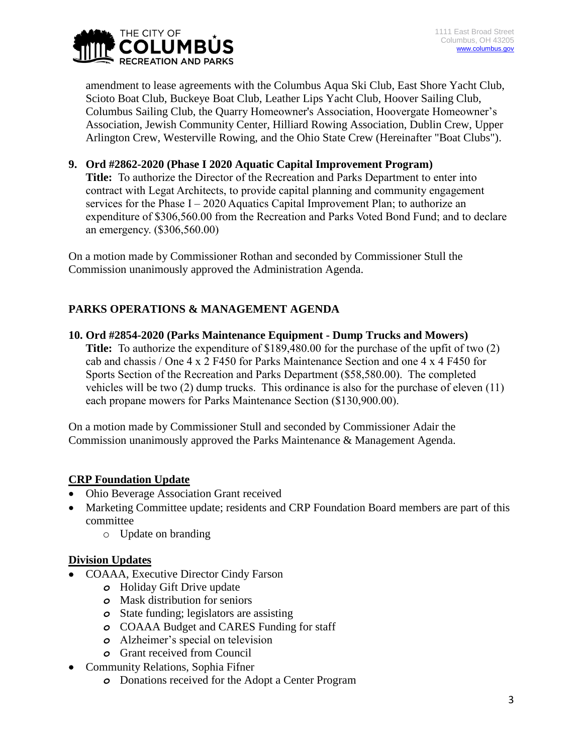

amendment to lease agreements with the Columbus Aqua Ski Club, East Shore Yacht Club, Scioto Boat Club, Buckeye Boat Club, Leather Lips Yacht Club, Hoover Sailing Club, Columbus Sailing Club, the Quarry Homeowner's Association, Hoovergate Homeowner's Association, Jewish Community Center, Hilliard Rowing Association, Dublin Crew, Upper Arlington Crew, Westerville Rowing, and the Ohio State Crew (Hereinafter "Boat Clubs").

#### **9. Ord #2862-2020 (Phase I 2020 Aquatic Capital Improvement Program)**

**Title:** To authorize the Director of the Recreation and Parks Department to enter into contract with Legat Architects, to provide capital planning and community engagement services for the Phase  $I - 2020$  Aquatics Capital Improvement Plan; to authorize an expenditure of \$306,560.00 from the Recreation and Parks Voted Bond Fund; and to declare an emergency. (\$306,560.00)

On a motion made by Commissioner Rothan and seconded by Commissioner Stull the Commission unanimously approved the Administration Agenda.

# **PARKS OPERATIONS & MANAGEMENT AGENDA**

**10. Ord #2854-2020 (Parks Maintenance Equipment - Dump Trucks and Mowers) Title:** To authorize the expenditure of \$189,480.00 for the purchase of the upfit of two (2) cab and chassis / One 4 x 2 F450 for Parks Maintenance Section and one 4 x 4 F450 for Sports Section of the Recreation and Parks Department (\$58,580.00). The completed vehicles will be two (2) dump trucks. This ordinance is also for the purchase of eleven (11) each propane mowers for Parks Maintenance Section (\$130,900.00).

On a motion made by Commissioner Stull and seconded by Commissioner Adair the Commission unanimously approved the Parks Maintenance & Management Agenda.

#### **CRP Foundation Update**

- Ohio Beverage Association Grant received
- Marketing Committee update; residents and CRP Foundation Board members are part of this committee
	- o Update on branding

#### **Division Updates**

- COAAA, Executive Director Cindy Farson
	- *o* Holiday Gift Drive update
	- *o* Mask distribution for seniors
	- *o* State funding; legislators are assisting
	- *o* COAAA Budget and CARES Funding for staff
	- *o* Alzheimer's special on television
	- *o* Grant received from Council
- Community Relations, Sophia Fifner
	- *o* Donations received for the Adopt a Center Program